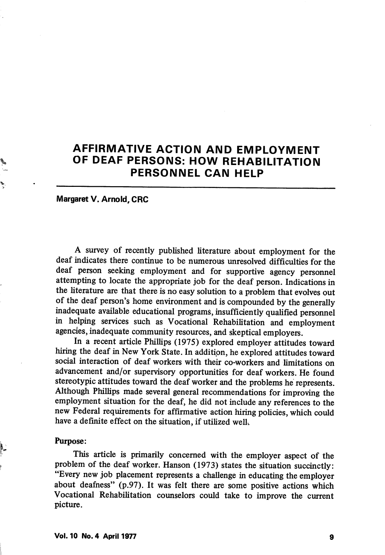# AFFIRMATIVE ACTION AND EMPLOYMENT OF DEAF PERSONS: HOW REHABILITATION PERSONNEL CAN HELP

Margaret V. Arnold, CRC

A survey of recently published literature about employment for the deaf indicates there continue to be numerous unresolved difficulties for the deaf person seeking employment and for supportive agency personnel attempting to locate the appropriate job for the deaf person. Indications in the literature are that there is no easy solution to a problem that evolves out of the deaf person's home environment and is compounded by the generally inadequate available educational programs, insufficiently qualified personnel in helping services such as Vocational Rehabilitation and employment agencies, inadequate community resources, and skeptical employers.

In a recent article Phillips (1975) explored employer attitudes toward hiring the deaf in New York State. In addition, he explored attitudes toward social interaction of deaf workers with their co-workers and limitations on advancement and/or supervisory opportunities for deaf workers. He found stereotypic attitudes toward the deaf worker and the problems he represents. Although Phillips made several general recommendations for improving the employment situation for the deaf, he did not include any references to the new Federal requirements for affirmative action hiring pohcies, which could have a definite effect on the situation, if utilized well.

#### Purpose:

This article is primarily concerned with the employer aspect of the problem of the deaf worker. Hanson (1973) states the situation succinctly: "Every new job placement represents a challenge in educating the employer about deafness" (p.97). It was felt there are some positive actions which Vocational Rehabilitation counselors could take to improve the current picture.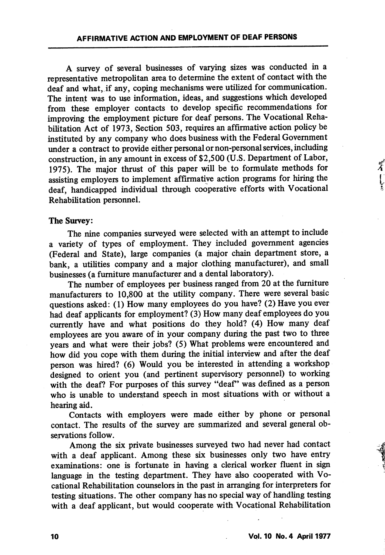A survey of several businesses of varying sizes was conducted in a representative metropolitan area to determine the extent of contact with the deaf and what, if any, coping mechanisms were utilized for communication. The intent was to use information, ideas, and suggestions which developed from these employer contacts to develop spedfic recommendations for improving the employment picture for deaf persons. The Vocational Reha bilitation Act of 1973, Section 503, requires an affirmative action policy be instituted by any company who does business with the Federal Government under a contract to provide either personal or non-personal services, including construction, in any amount in excess of \$2,500 (U.S. Department of Labor, 1975). The major thrust of this paper will be to formulate methods for assisting employers to implement affirmative action programs for hiring the deaf, handicapped individual through cooperative efforts with Vocational Rehabilitation personnel.

#### The Survey:

The nine companies surveyed were selected with an attempt to include a variety of types of employment. They included government agencies (Federal and State), large companies (a major chain department store, a bank, a utilities company and a major clothing manufacturer), and small businesses (a furniture manufacturer and a dental laboratory).

The number of employees per business ranged from 20 at the furniture manufacturers to 10,800 at the utility company. There were several basic questions asked: (1) How many employees do you have? (2) Have you ever had deaf applicants for employment? (3) How many deaf employees do you currently have and what positions do they hold? (4) How many deaf employees are you aware of in your company during the past two to three years and what were their jobs? (5) What problems were encountered and how did you cope with them during the initial interview and after the deaf person was hired? (6) Would you be interested in attending a workshop designed to orient you (and pertinent supervisory personnel) to working with the deaf? For purposes of this survey "deaf" was defined as a person who is unable to understand speech in most situations with or without a hearing aid.

Contacts with employers were made either by phone or personal contact. The results of the survey are summarized and several general ob servations follow.

Among the six private businesses surveyed two had never had contact with a deaf applicant. Among these six businesses only two have entry examinations: one is fortunate in having a clerical worker fluent in sign language in the testing department. They have also cooperated with Vo cational Rehabilitation counselors in the past in arranging for interpreters for testing situations. The other company has no special way of handling testing with a deaf applicant, but would cooperate with Vocational Rehabilitation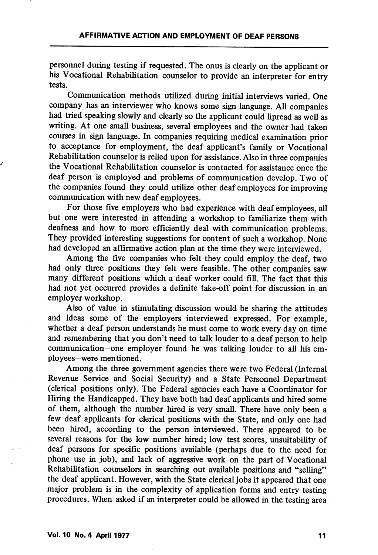personnel during testing if requested. The onus is clearly on the apphcant or his Vocational Rehabilitation counselor to provide an interpreter for entry tests.

Communication methods utilized during initial interviews varied. One company has an interviewer who knows some sign language. All companies had tried speaking slowly and clearly so the applicant could lipread as well as writing. At one small business, several employees and the owner had taken courses in sign language. In companies requiring medical examination prior to acceptance for employment, the deaf applicant's family or Vocational Rehabilitation counselor is relied upon for assistance. Also in three companies the Vocational Rehabilitation counselor is contacted for assistance once the deaf person is employed and problems of communication develop. Two of the companies found they could utihze other deaf employees for improving communication with new deaf employees.

For those five employers who had experience with deaf employees, all but one were interested in attending a workshop to famiharize them with deafness and how to more efficiently deal with communication problems. They provided interesting suggestions for content of such a workshop. None had developed an affirmative action plan at the time they were interviewed.

Among the five companies who felt they could employ the deaf, two had only three positions they felt were feasible. The other companies saw many different positions which a deaf worker could fill. The fact that this had not yet occurred provides a definite take-off point for discussion in an employer workshop.

Also of value in stimulating discussion would be sharing the attitudes and ideas some of the employers interviewed expressed. For example, whether a deaf person understands he must come to work every day on time and remembering that you don't need to talk louder to a deaf person to help commimication—one employer found he was talking louder to all his em ployees—were mentioned.

Among the three government agencies there were two Federal (Internal Revenue Service and Social Security) and a State Personnel Department (clerical positions only). The Federal agencies each have a Coordinator for Hiring the Handicapped. They have both had deaf applicants and hired some of them, although the number hired is very small. There have only been a few deaf applicants for clerical positions with the State, and only one had been hired, according to the person interviewed. There appeared to be several reasons for the low number hired; low test scores, unsuitability of deaf persons for specific positions available (perhaps due to the need for phone use in job), and lack of aggressive work on the part of Vocational Rehabilitation counselors in searching out available positions and "selling" the deaf applicant. However, with the State clerical jobs it appeared that one major problem is in the complexity of application forms and entry testing procedures. When asked if an interpreter could be allowed in the testing area

ÿ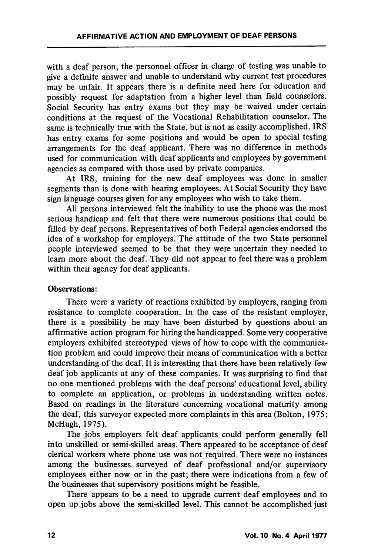with a deaf person, the personnel officer in charge of testing was unable to give a definite answer and unable to understand why current test procedures may be unfair. It appears there is a definite need here for education and possibly request for adaptation from a higher level than field counselors. Social Security has entry exams but they may be waived under certain conditions at the request of the Vocational Rehabilitation counselor. The same is technically true with the State, but is not as easily accomplished. IRS has entry exams for some positions and would be open to special testing arrangements for the deaf applicant. There was no difference in methods used for communication with deaf applicants and employees by government agencies as compared with those used by private companies.

At IRS, training for the new deaf employees was done in smaller segments than is done with hearing employees. At Social Security they have sign language courses given, for any employees who wish to take them.

All persons interviewed felt the inability to use the phone was the most serious handicap and felt that there were numerous positions that could be filled by deaf persons. Representatives of both Federal agencies endorsed the idea of a workshop for employers. The attitude of the two State personnel people interviewed seemed to be that they were uncertain they needed to learn more about the deaf. They did not appear to feel there was a problem within their agency for deaf applicants.

#### Observations:

There were a variety of reactions exhibited by employers, ranging from resistance to complete cooperation. In the case of the resistant employer, there is a possibility he may have been disturbed by questions about an affirmative action program for hiring the handicapped. Some very cooperative employers exhibited stereotyped views of how to cope with the communica tion problem and could improve their means of communication with a better understanding of the deaf. It is interesting that there have been relatively few deaf job applicants at any of these companies. It was surprising to find that no one mentioned problems with the deaf persons' educational level, ability to complete an application, or problems in understanding written notes. Based on readings in the literature concerning vocational maturity among the deaf, this surveyor expected more complaints in this area (Bolton, 1975; McHugh, 1975).

The jobs employers felt deaf applicants could perform generally fell into unskilled or semi-skilled areas. There appeared to be acceptance of deaf clerical workers where phone use was not required. There were no instances among the businesses surveyed of deaf professional and/or supervisory employees either now or in the past; there were indications from a few of the businesses that supervisory positions might be feasible.

There appears to be a need to upgrade current deaf employees and to open up jobs above the semi-skilled level. This cannot be accomplished just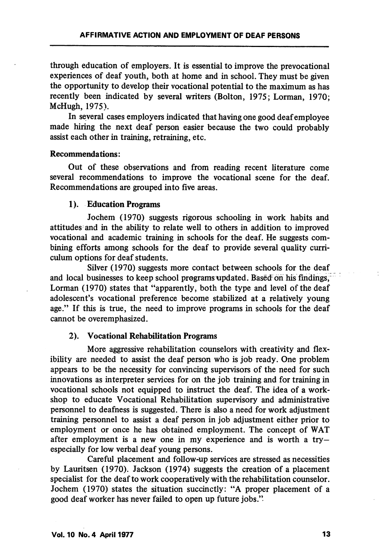through education of employers. It is essential to improve the prevocational experiences of deaf youth, both at home and in school. They must be given the opportunity to develop their vocational potential to the maximum as has recently been indicated by several writers (Bolton, 1975; Lorman, 1970; McHugh, 1975).

In several cases employers indicated that having one good deaf employee made hiring the next deaf person easier because the two could probably assist each other in training, retraining, etc.

## Recommendations:

Out of these observations and from reading recent literature come several recommendations to improve the vocational scene for the deaf. Recommendations are grouped into five areas.

## 1). Education Programs

Jochem (1970) suggests rigorous schooling in work habits and attitudes and in the ability to relate well to others in addition to improved vocational and academic training in schools for the deaf. He suggests com bining efforts among schools for the deaf to provide several quality curri culum options for deaf students.

Silver (1970) suggests more contact between schools for the deaf and local businesses to keep school programs updated. Based oh his findings, Lorman (1970) states that "apparently, both the type and level of the deaf adolescent's vocational preference become stabilized at a relatively young age." If this is true, the need to improve programs in schools for the deaf cannot be overemphasized.

# 2). Vocational Rehabilitation Programs

More aggressive rehabilitation counselors with creativity and flex ibility are needed to assist the deaf person who is job ready. One problem appears to be the necessity for convincing supervisors of the need for such innovations as interpreter services for on the job training and for training in vocational schools not equipped to instruct the deaf. The idea of a work shop to educate Vocational Rehabilitation supervisory and administrative personnel to deafness is suggested. There is also a need for work adjustment training personnel to assist a deaf person in job adjustment either prior to employment or once he has obtained employment. The concept of WAT after employment is a new one in my experience and is worth a tryespecially for low verbal deaf young persons.

Careful placement and follow-up services are stressed as necessities by Lauritsen (1970). Jackson (1974) suggests the creation of a placement specialist for the deaf to work cooperatively with the rehabilitation counselor. Jochem (1970) states the situation succinctly: "A proper placement of a good deaf worker has never failed to open up future jobs."-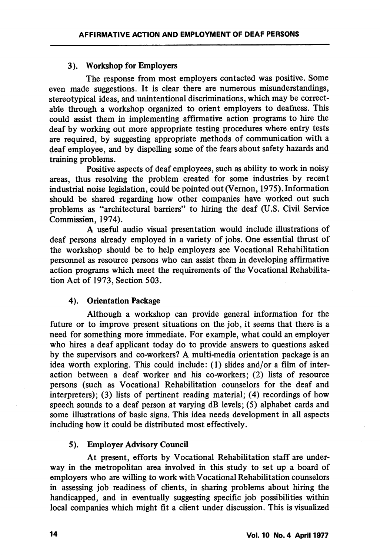## 3). Workshop for Employers

The response from most employers contacted was positive. Some even made suggestions. It is clear there are numerous misimderstandings, stereotypical ideas, and unintentional discriminations, which may be correct able through a workshop organized to orient employers to deafness. This could assist them in implementing affirmative action programs to hire the deaf by working out more appropriate testing procedures where entry tests are required, by suggesting appropriate methods of communication with a deaf employee, and by dispelling some of the fears about safety hazards and training problems.

Positive aspects of deaf employees, such as ability to work in noisy areas, thus resolving the problem created for some industries by recent industrial noise legislation, could be pointed out (Vemon, 1975). Information should be shared regarding how other companies have worked out such problems as "architectural barriers" to hiring the deaf (U.S. Civil Service Commission, 1974).

A useful audio visual presentation would include illustrations of deaf persons already employed in a variety of jobs. One essential thrust of the workshop should be to help employers see Vocational Rehabilitation personnel as resource persons who can assist them in developing affirmative action programs which meet the requirements of the Vocational Rehabilita tion Act of 1973, Section 503.

# 4). Orientation Package

Although a workshop can provide general information for the future or to improve present situations on the job, it seems that there is a need for something more immediate. For example, what could an employer who hires a deaf applicant today do to provide answers to questions asked by the supervisors and co-workers? A multi-media orientation package is an idea worth exploring. This could include: (1) slides and/or a film of inter action between a deaf worker and his co-workers; (2) lists of resource persons (such as Vocational Rehabilitation counselors for the deaf and interpreters); (3) lists of pertinent reading material; (4) recordings of how speech sounds to a deaf person at varying  $dB$  levels; (5) alphabet cards and some illustrations of basic signs. This idea needs development in all aspects including how it could be distributed most effectively.

#### 5). Employer Advisory Council

At present, efforts by Vocational Rehabilitation staff are underway in the metropolitan area involved in this study to set up a board of employers who are willing to work with Vocational Rehabilitation counselors in assessing job readiness of clients, in sharing problems about hiring the handicapped, and in eventually suggesting specific job possibilities within local companies which might fit a client under discussion. This is visualized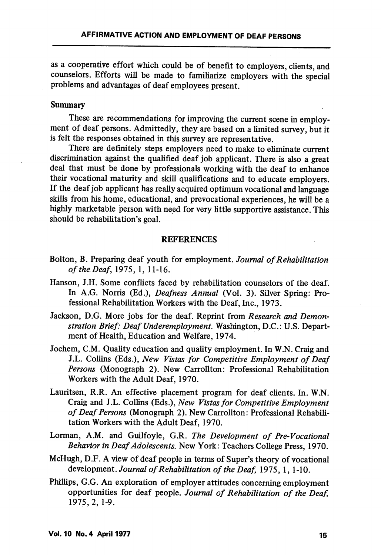as a cooperative effort which could be of benefit to employers, clients, and counselors. Efforts will be made to familiarize employers with the special problems and advantages of deaf employees present.

#### Summary

These are recommendations for improving the current scene in employment of deaf persons. Admittedly, they are based on a limited survey, but it is felt the responses obtained in this survey are representative.

There are definitely steps employers need to make to eliminate current discrimination against the qualified deaf job applicant. There is also a great deal that must be done by professionals working with the deaf to enhance their vocational maturity and skill qualifications and to educate employers. If the deaf job applicant has really acquired optimum vocational and language skills from his home, educational, and prevocational experiences, he will be a highly marketable person with need for very little supportive assistance. This should be rehabilitation's goal.

#### **REFERENCES**

- Bolton, B. Preparing deaf youth for employment. Journal of Rehabilitation of the Deaf, 1975,1, 11-16.
- Hanson, J.H. Some conflicts faced by rehabilitation counselors of the deaf. In A.G. Norris (Ed.), Deafness Annual (Vol. 3). Silver Spring: Pro fessional Rehabilitation Workers with the Deaf, Inc., 1973.
- Jackson, D.G. More jobs for the deaf. Reprint from Research and Demonstration Brief: Deaf Underemployment. Washington, D.C.: U.S. Depart ment of Health, Education and Welfare, 1974.
- Jochem, C.M. Quality education and quality employment. In W.N. Craig and J.L. Collins (Eds.), New Vistas for Competitive Employment of Deaf Persons (Monograph 2). New Carrollton: Professional Rehabilitation Workers with the Adult Deaf, 1970.
- Lauritsen, R.R. An effective placement program for deaf clients. In. W.N. Craig and J.L. Collins (Eds.), New Vistas for Competitive Employment of Deaf Persons (Monograph 2). New Carrollton: Professional Rehabili tation Workers with the Adult Deaf, 1970.
- Lorman, A.M. and Guilfoyle, G.R. The Development of Pre-Vocational Behavior in Deaf Adolescents. New York: Teachers College Press, 1970.
- McHugh, D.F. A view of deaf people in terms of Super's theory of vocational development. Journal of Rehabilitation of the Deaf, 1975, 1, 1-10.
- Phillips, G.G. An exploration of employer attitudes concerning employment opportunities for deaf people. Journal of Rehabilitation of the Deaf, 1975, 2, 1-9.